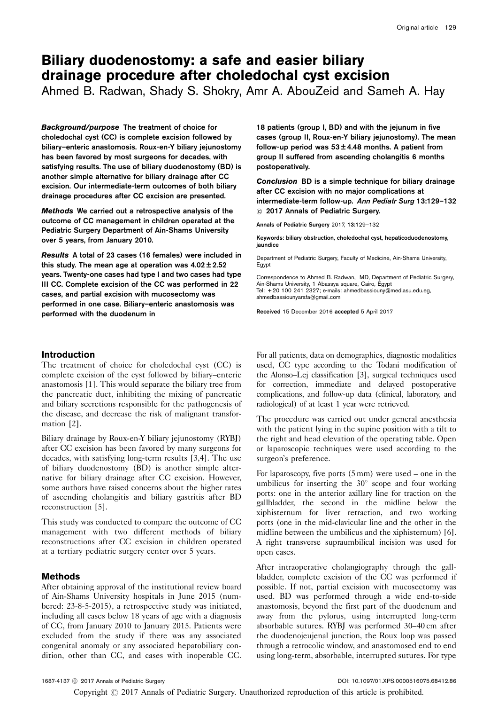# Biliary duodenostomy: a safe and easier biliary drainage procedure after choledochal cyst excision

Ahmed B. Radwan, Shady S. Shokry, Amr A. AbouZeid and Sameh A. Hay

Background/purpose The treatment of choice for choledochal cyst (CC) is complete excision followed by biliary–enteric anastomosis. Roux-en-Y biliary jejunostomy has been favored by most surgeons for decades, with satisfying results. The use of biliary duodenostomy (BD) is another simple alternative for biliary drainage after CC excision. Our intermediate-term outcomes of both biliary drainage procedures after CC excision are presented.

Methods We carried out a retrospective analysis of the outcome of CC management in children operated at the Pediatric Surgery Department of Ain-Shams University over 5 years, from January 2010.

Results A total of 23 cases (16 females) were included in this study. The mean age at operation was  $4.02 \pm 2.52$ years. Twenty-one cases had type I and two cases had type III CC. Complete excision of the CC was performed in 22 cases, and partial excision with mucosectomy was performed in one case. Biliary–enteric anastomosis was performed with the duodenum in

18 patients (group I, BD) and with the jejunum in five cases (group II, Roux-en-Y biliary jejunostomy). The mean follow-up period was  $53 \pm 4.48$  months. A patient from group II suffered from ascending cholangitis 6 months postoperatively.

Conclusion BD is a simple technique for biliary drainage after CC excision with no major complications at intermediate-term follow-up. Ann Pediatr Surg 13:129–132  $@$  2017 Annals of Pediatric Surgery.

Annals of Pediatric Surgery 2017, 13:129–132

Keywords: biliary obstruction, choledochal cyst, hepaticoduodenostomy, jaundice

Department of Pediatric Surgery, Faculty of Medicine, Ain-Shams University, Egypt

Correspondence to Ahmed B. Radwan, MD, Department of Pediatric Surgery, Ain-Shams University, 1 Abassya square, Cairo, Egypt Tel: + 20 100 241 2327; e-mails: [ahmedbassiouny@med.asu.edu.eg](mailto:ahmedbassiouny@med.asu.edu.eg), [ahmedbassiounyarafa@gmail.com](mailto:ahmedbassiounyarafa@gmail.com)

Received 15 December 2016 accepted 5 April 2017

# Introduction

The treatment of choice for choledochal cyst (CC) is complete excision of the cyst followed by biliary–enteric anastomosis [\[1](#page-3-0)]. This would separate the biliary tree from the pancreatic duct, inhibiting the mixing of pancreatic and biliary secretions responsible for the pathogenesis of the disease, and decrease the risk of malignant transformation [\[2\]](#page-3-0).

Biliary drainage by Roux-en-Y biliary jejunostomy (RYBJ) after CC excision has been favored by many surgeons for decades, with satisfying long-term results [\[3,4\]](#page-3-0). The use of biliary duodenostomy (BD) is another simple alternative for biliary drainage after CC excision. However, some authors have raised concerns about the higher rates of ascending cholangitis and biliary gastritis after BD reconstruction [\[5](#page-3-0)].

This study was conducted to compare the outcome of CC management with two different methods of biliary reconstructions after CC excision in children operated at a tertiary pediatric surgery center over 5 years.

# Methods

After obtaining approval of the institutional review board of Ain-Shams University hospitals in June 2015 (numbered: 23-8-5-2015), a retrospective study was initiated, including all cases below 18 years of age with a diagnosis of CC, from January 2010 to January 2015. Patients were excluded from the study if there was any associated congenital anomaly or any associated hepatobiliary condition, other than CC, and cases with inoperable CC.

For all patients, data on demographics, diagnostic modalities used, CC type according to the Todani modification of the Alonso–Lej classification [\[3](#page-3-0)], surgical techniques used for correction, immediate and delayed postoperative complications, and follow-up data (clinical, laboratory, and radiological) of at least 1 year were retrieved.

The procedure was carried out under general anesthesia with the patient lying in the supine position with a tilt to the right and head elevation of the operating table. Open or laparoscopic techniques were used according to the surgeon's preference.

For laparoscopy, five ports (5 mm) were used – one in the umbilicus for inserting the  $30^{\circ}$  scope and four working ports: one in the anterior axillary line for traction on the gallbladder, the second in the midline below the xiphisternum for liver retraction, and two working ports (one in the mid-clavicular line and the other in the midline between the umbilicus and the xiphisternum) [\[6](#page-3-0)]. A right transverse supraumbilical incision was used for open cases.

After intraoperative cholangiography through the gallbladder, complete excision of the CC was performed if possible. If not, partial excision with mucosectomy was used. BD was performed through a wide end-to-side anastomosis, beyond the first part of the duodenum and away from the pylorus, using interrupted long-term absorbable sutures. RYBJ was performed 30–40 cm after the duodenojeujenal junction, the Roux loop was passed through a retrocolic window, and anastomosed end to end using long-term, absorbable, interrupted sutures. For type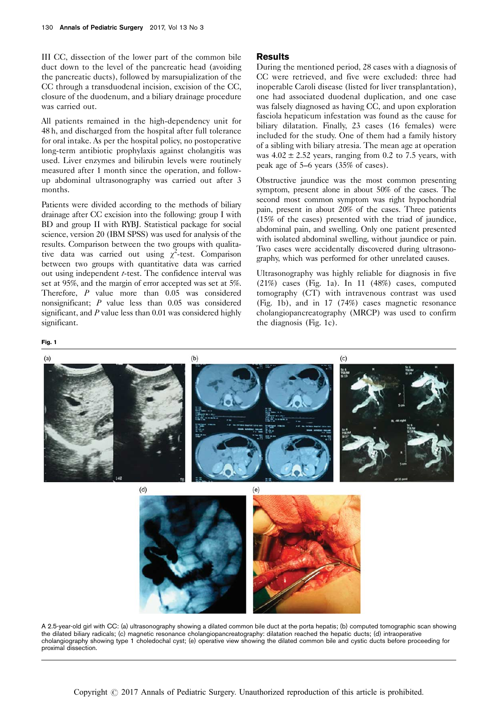<span id="page-1-0"></span>III CC, dissection of the lower part of the common bile duct down to the level of the pancreatic head (avoiding the pancreatic ducts), followed by marsupialization of the CC through a transduodenal incision, excision of the CC, closure of the duodenum, and a biliary drainage procedure was carried out.

All patients remained in the high-dependency unit for 48 h, and discharged from the hospital after full tolerance for oral intake. As per the hospital policy, no postoperative long-term antibiotic prophylaxis against cholangitis was used. Liver enzymes and bilirubin levels were routinely measured after 1 month since the operation, and followup abdominal ultrasonography was carried out after 3 months.

Patients were divided according to the methods of biliary drainage after CC excision into the following: group I with BD and group II with RYBJ. Statistical package for social science, version 20 (IBM SPSS) was used for analysis of the results. Comparison between the two groups with qualitative data was carried out using  $\chi^2$ -test. Comparison between two groups with quantitative data was carried out using independent *t*-test. The confidence interval was set at 95%, and the margin of error accepted was set at 5%. Therefore, P value more than 0.05 was considered nonsignificant; P value less than 0.05 was considered significant, and  $P$  value less than 0.01 was considered highly significant.

### Results

During the mentioned period, 28 cases with a diagnosis of CC were retrieved, and five were excluded: three had inoperable Caroli disease (listed for liver transplantation), one had associated duodenal duplication, and one case was falsely diagnosed as having CC, and upon exploration fasciola hepaticum infestation was found as the cause for biliary dilatation. Finally, 23 cases (16 females) were included for the study. One of them had a family history of a sibling with biliary atresia. The mean age at operation was  $4.02 \pm 2.52$  years, ranging from 0.2 to 7.5 years, with peak age of 5–6 years (35% of cases).

Obstructive jaundice was the most common presenting symptom, present alone in about 50% of the cases. The second most common symptom was right hypochondrial pain, present in about 20% of the cases. Three patients (15% of the cases) presented with the triad of jaundice, abdominal pain, and swelling. Only one patient presented with isolated abdominal swelling, without jaundice or pain. Two cases were accidentally discovered during ultrasonography, which was performed for other unrelated causes.

Ultrasonography was highly reliable for diagnosis in five (21%) cases (Fig. 1a). In 11 (48%) cases, computed tomography (CT) with intravenous contrast was used (Fig. 1b), and in 17 (74%) cases magnetic resonance cholangiopancreatography (MRCP) was used to confirm the diagnosis (Fig. 1c).

 $(a)$  $(b)$  $(c)$  $(d)$  $(e)$ 

A 2.5-year-old girl with CC: (a) ultrasonography showing a dilated common bile duct at the porta hepatis; (b) computed tomographic scan showing the dilated biliary radicals; (c) magnetic resonance cholangiopancreatography: dilatation reached the hepatic ducts; (d) intraoperative cholangiography showing type 1 choledochal cyst; (e) operative view showing the dilated common bile and cystic ducts before proceeding for proximal dissection.

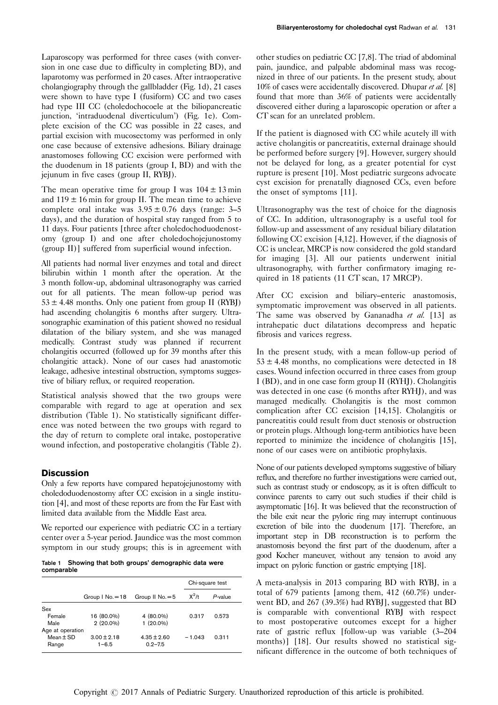Laparoscopy was performed for three cases (with conversion in one case due to difficulty in completing BD), and laparotomy was performed in 20 cases. After intraoperative cholangiography through the gallbladder [\(Fig. 1d\)](#page-1-0), 21 cases were shown to have type I (fusiform) CC and two cases had type III CC (choledochocoele at the biliopancreatic junction, 'intraduodenal diverticulum') ([Fig. 1e\)](#page-1-0). Complete excision of the CC was possible in 22 cases, and partial excision with mucosectomy was performed in only one case because of extensive adhesions. Biliary drainage anastomoses following CC excision were performed with the duodenum in 18 patients (group I, BD) and with the jejunum in five cases (group II, RYBJ).

The mean operative time for group I was  $104 \pm 13$  min and  $119 \pm 16$  min for group II. The mean time to achieve complete oral intake was  $3.95 \pm 0.76$  days (range: 3–5) days), and the duration of hospital stay ranged from 5 to 11 days. Four patients [three after choledochoduodenostomy (group I) and one after choledochojejunostomy (group II)] suffered from superficial wound infection.

All patients had normal liver enzymes and total and direct bilirubin within 1 month after the operation. At the 3 month follow-up, abdominal ultrasonography was carried out for all patients. The mean follow-up period was  $53 \pm 4.48$  months. Only one patient from group II (RYBJ) had ascending cholangitis 6 months after surgery. Ultrasonographic examination of this patient showed no residual dilatation of the biliary system, and she was managed medically. Contrast study was planned if recurrent cholangitis occurred (followed up for 39 months after this cholangitic attack). None of our cases had anastomotic leakage, adhesive intestinal obstruction, symptoms suggestive of biliary reflux, or required reoperation.

Statistical analysis showed that the two groups were comparable with regard to age at operation and sex distribution (Table 1). No statistically significant difference was noted between the two groups with regard to the day of return to complete oral intake, postoperative wound infection, and postoperative cholangitis [\(Table 2](#page-3-0)).

## **Discussion**

Only a few reports have compared hepatojejunostomy with choledoduodenostomy after CC excision in a single institution [\[4](#page-3-0)], and most of these reports are from the Far East with limited data available from the Middle East area.

We reported our experience with pediatric CC in a tertiary center over a 5-year period. Jaundice was the most common symptom in our study groups; this is in agreement with

Table 1 Showing that both groups' demographic data were comparable

|                  |                      |                  | Chi-square test |         |
|------------------|----------------------|------------------|-----------------|---------|
|                  | Group $1$ No. $=$ 18 | Group II $No.=5$ | $X^2/t$         | P-value |
| Sex              |                      |                  |                 |         |
| Female           | 16 (80.0%)           | 4 (80.0%)        | 0.317           | 0.573   |
| Male             | $2(20.0\%)$          | $1(20.0\%)$      |                 |         |
| Age at operation |                      |                  |                 |         |
| Mean $\pm$ SD    | $3.00 \pm 2.18$      | $4.35 \pm 2.60$  | $-1.043$        | 0.311   |
| Range            | $1 - 6.5$            | $0.2 - 7.5$      |                 |         |

other studies on pediatric CC [\[7,8](#page-3-0)]. The triad of abdominal pain, jaundice, and palpable abdominal mass was recognized in three of our patients. In the present study, about 10% of cases were accidentally discovered. Dhupar et al. [\[8\]](#page-3-0) found that more than 36% of patients were accidentally discovered either during a laparoscopic operation or after a CT scan for an unrelated problem.

If the patient is diagnosed with CC while acutely ill with active cholangitis or pancreatitis, external drainage should be performed before surgery [\[9](#page-3-0)]. However, surgery should not be delayed for long, as a greater potential for cyst rupture is present [\[10\]](#page-3-0). Most pediatric surgeons advocate cyst excision for prenatally diagnosed CCs, even before the onset of symptoms [\[11\]](#page-3-0).

Ultrasonography was the test of choice for the diagnosis of CC. In addition, ultrasonography is a useful tool for follow-up and assessment of any residual biliary dilatation following CC excision [\[4,12](#page-3-0)]. However, if the diagnosis of CC is unclear, MRCP is now considered the gold standard for imaging [\[3](#page-3-0)]. All our patients underwent initial ultrasonography, with further confirmatory imaging required in 18 patients (11 CT scan, 17 MRCP).

After CC excision and biliary–enteric anastomosis, symptomatic improvement was observed in all patients. The same was observed by Gananadha et al. [\[13\]](#page-3-0) as intrahepatic duct dilatations decompress and hepatic fibrosis and varices regress.

In the present study, with a mean follow-up period of  $53 \pm 4.48$  months, no complications were detected in 18 cases. Wound infection occurred in three cases from group I (BD), and in one case form group II (RYHJ). Cholangitis was detected in one case (6 months after RYHJ), and was managed medically. Cholangitis is the most common complication after CC excision [\[14,15\]](#page-3-0). Cholangitis or pancreatitis could result from duct stenosis or obstruction or protein plugs. Although long-term antibiotics have been reported to minimize the incidence of cholangitis [\[15](#page-3-0)], none of our cases were on antibiotic prophylaxis.

None of our patients developed symptoms suggestive of biliary reflux, and therefore no further investigations were carried out, such as contrast study or endoscopy, as it is often difficult to convince parents to carry out such studies if their child is asymptomatic [\[16\]](#page-3-0). It was believed that the reconstruction of the bile exit near the pyloric ring may interrupt continuous excretion of bile into the duodenum [\[17\]](#page-3-0). Therefore, an important step in DB reconstruction is to perform the anastomosis beyond the first part of the duodenum, after a good Kocher maneuver, without any tension to avoid any impact on pyloric function or gastric emptying [\[18](#page-3-0)].

A meta-analysis in 2013 comparing BD with RYBJ, in a total of 679 patients [among them, 412 (60.7%) underwent BD, and 267 (39.3%) had RYBJ], suggested that BD is comparable with conventional RYBJ with respect to most postoperative outcomes except for a higher rate of gastric reflux [follow-up was variable (3–204 months)] [\[18\]](#page-3-0). Our results showed no statistical significant difference in the outcome of both techniques of